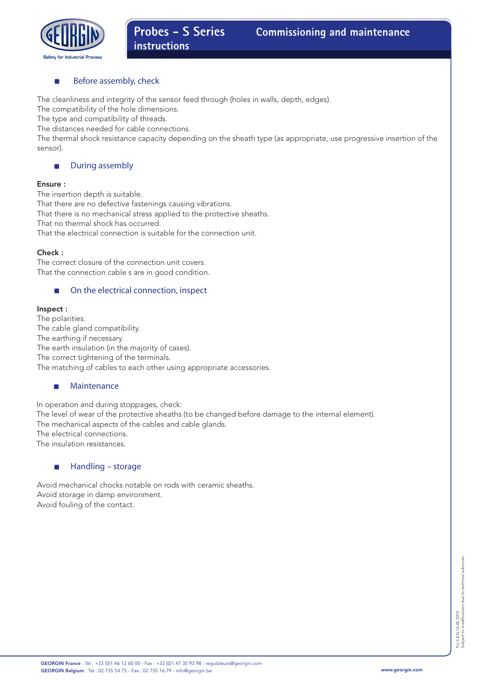

# Before assembly, check

The cleanliness and integrity of the sensor feed through (holes in walls, depth, edges).

The compatibility of the hole dimensions.

The type and compatibility of threads.

The distances needed for cable connections.

The thermal shock resistance capacity depending on the sheath type (as appropriate, use progressive insertion of the sensor).

#### During assembly  $\blacksquare$

### Ensure :

The insertion depth is suitable. That there are no defective fastenings causing vibrations. That there is no mechanical stress applied to the protective sheaths. That no thermal shock has occurred.

That the electrical connection is suitable for the connection unit.

### Check :

The correct closure of the connection unit covers. That the connection cable s are in good condition.

#### $\blacksquare$ On the electrical connection, inspect

### Inspect :

The polarities. The cable gland compatibility. The earthing if necessary. The earth insulation (in the majority of cases). The correct tightening of the terminals. The matching of cables to each other using appropriate accessories.

#### $\blacksquare$ Maintenance

In operation and during stoppages, check: The level of wear of the protective sheaths (to be changed before damage to the internal element). The mechanical aspects of the cables and cable glands. The electrical connections. The insulation resistances.

#### $\blacksquare$ Handling – storage

Avoid mechanical chocks notable on rods with ceramic sheaths. Avoid storage in damp environment. Avoid fouling of the contact.